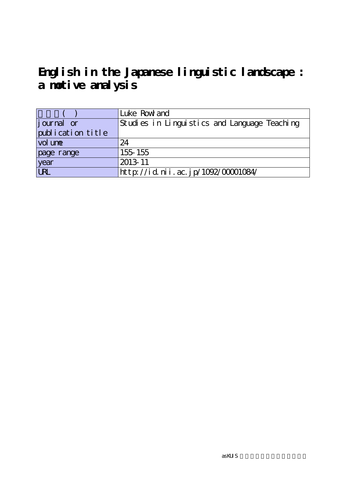## **English in the Japanese linguistic landscape : a motive analysis**

|                    | Luke Row and                                 |
|--------------------|----------------------------------------------|
| <i>j</i> ournal or | Studies in Linguistics and Language Teaching |
| publication title  |                                              |
| vol une            | 24                                           |
| page range         | 155 155                                      |
| year<br>URL        | 2013-11                                      |
|                    | http://id.nii.ac.jp/1092/00001084/           |